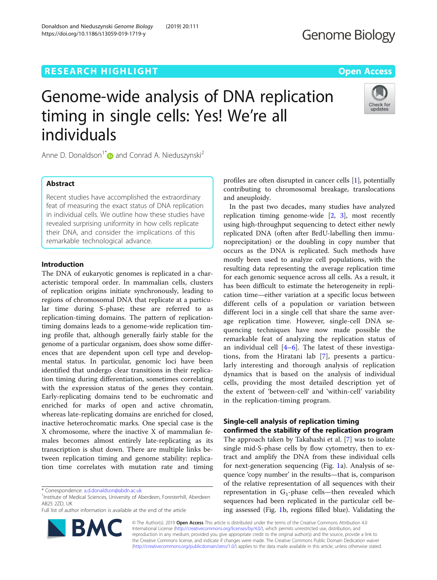# **RESEARCH HIGHLIGHT CONSUMING THE OPEN ACCESS**

# Genome-wide analysis of DNA replication timing in single cells: Yes! We're all individuals



Anne D. Donaldson<sup>1</sup><sup>\*</sup> $\bullet$  and Conrad A. Nieduszynski<sup>2</sup>

# Abstract

Recent studies have accomplished the extraordinary feat of measuring the exact status of DNA replication in individual cells. We outline how these studies have revealed surprising uniformity in how cells replicate their DNA, and consider the implications of this remarkable technological advance.

### Introduction

The DNA of eukaryotic genomes is replicated in a characteristic temporal order. In mammalian cells, clusters of replication origins initiate synchronously, leading to regions of chromosomal DNA that replicate at a particular time during S-phase; these are referred to as replication-timing domains. The pattern of replicationtiming domains leads to a genome-wide replication timing profile that, although generally fairly stable for the genome of a particular organism, does show some differences that are dependent upon cell type and developmental status. In particular, genomic loci have been identified that undergo clear transitions in their replication timing during differentiation, sometimes correlating with the expression status of the genes they contain. Early-replicating domains tend to be euchromatic and enriched for marks of open and active chromatin, whereas late-replicating domains are enriched for closed, inactive heterochromatic marks. One special case is the X chromosome, where the inactive X of mammalian females becomes almost entirely late-replicating as its transcription is shut down. There are multiple links between replication timing and genome stability: replication time correlates with mutation rate and timing

Full list of author information is available at the end of the article



profiles are often disrupted in cancer cells [[1](#page-3-0)], potentially contributing to chromosomal breakage, translocations and aneuploidy.

In the past two decades, many studies have analyzed replication timing genome-wide  $[2, 3]$  $[2, 3]$  $[2, 3]$  $[2, 3]$ , most recently using high-throughput sequencing to detect either newly replicated DNA (often after BrdU-labelling then immunoprecipitation) or the doubling in copy number that occurs as the DNA is replicated. Such methods have mostly been used to analyze cell populations, with the resulting data representing the average replication time for each genomic sequence across all cells. As a result, it has been difficult to estimate the heterogeneity in replication time—either variation at a specific locus between different cells of a population or variation between different loci in a single cell that share the same average replication time. However, single-cell DNA sequencing techniques have now made possible the remarkable feat of analyzing the replication status of an individual cell  $[4-6]$  $[4-6]$  $[4-6]$  $[4-6]$ . The latest of these investigations, from the Hiratani lab [\[7](#page-3-0)], presents a particularly interesting and thorough analysis of replication dynamics that is based on the analysis of individual cells, providing the most detailed description yet of the extent of 'between-cell' and 'within-cell' variability in the replication-timing program.

# Single-cell analysis of replication timing confirmed the stability of the replication program

The approach taken by Takahashi et al. [\[7](#page-3-0)] was to isolate single mid-S-phase cells by flow cytometry, then to extract and amplify the DNA from these individual cells for next-generation sequencing (Fig. [1](#page-1-0)a). Analysis of sequence 'copy number' in the results—that is, comparison of the relative representation of all sequences with their representation in  $G_1$ -phase cells—then revealed which sequences had been replicated in the particular cell being assessed (Fig. [1](#page-1-0)b, regions filled blue). Validating the

© The Author(s). 2019 Open Access This article is distributed under the terms of the Creative Commons Attribution 4.0 International License [\(http://creativecommons.org/licenses/by/4.0/](http://creativecommons.org/licenses/by/4.0/)), which permits unrestricted use, distribution, and reproduction in any medium, provided you give appropriate credit to the original author(s) and the source, provide a link to the Creative Commons license, and indicate if changes were made. The Creative Commons Public Domain Dedication waiver [\(http://creativecommons.org/publicdomain/zero/1.0/](http://creativecommons.org/publicdomain/zero/1.0/)) applies to the data made available in this article, unless otherwise stated.

<sup>\*</sup> Correspondence: [a.d.donaldson@abdn.ac.uk](mailto:a.d.donaldson@abdn.ac.uk) <sup>1</sup>

<sup>&</sup>lt;sup>1</sup>Institute of Medical Sciences, University of Aberdeen, Foresterhill, Aberdeen AB25 2ZD, UK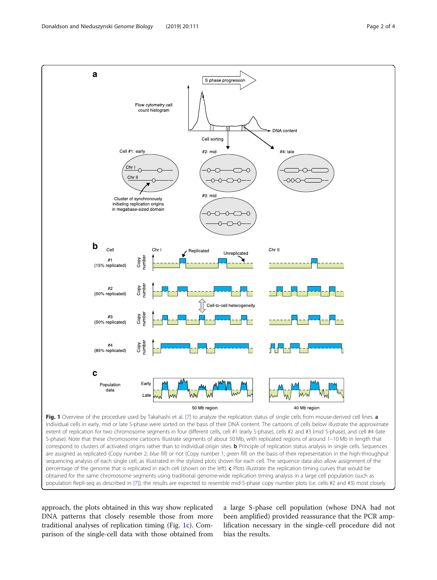<span id="page-1-0"></span>

Individual cells in early, mid or late S-phase were sorted on the basis of their DNA content. The cartoons of cells below illustrate the approximate extent of replication for two chromosome segments in four different cells, cell #1 (early S-phase), cells #2 and #3 (mid S-phase), and cell #4 (late S-phase). Note that these chromosome cartoons illustrate segments of about 50 Mb, with replicated regions of around 1–10 Mb in length that correspond to clusters of activated origins rather than to individual origin sites. **b** Principle of replication status analysis in single cells. Sequences are assigned as replicated (Copy number 2; blue fill) or not (Copy number 1; green fill) on the basis of their representation in the high-throughput sequencing analysis of each single cell, as illustrated in the stylized plots shown for each cell. The sequence data also allow assignment of the percentage of the genome that is replicated in each cell (shown on the left). c Plots illustrate the replication timing curves that would be obtained for the same chromosome segments using traditional genome-wide replication timing analysis in a large cell population (such as population Repli-seq as described in [[7\]](#page-3-0)); the results are expected to resemble mid-S-phase copy number plots (i.e. cells #2 and #3) most closely

approach, the plots obtained in this way show replicated DNA patterns that closely resemble those from more traditional analyses of replication timing (Fig. 1c). Comparison of the single-cell data with those obtained from a large S-phase cell population (whose DNA had not been amplified) provided reassurance that the PCR amplification necessary in the single-cell procedure did not bias the results.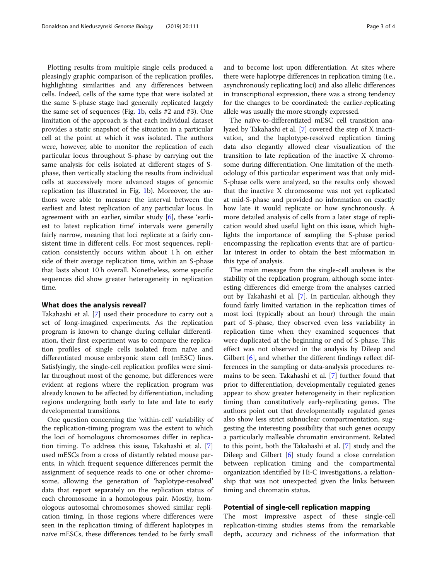Plotting results from multiple single cells produced a pleasingly graphic comparison of the replication profiles, highlighting similarities and any differences between cells. Indeed, cells of the same type that were isolated at the same S-phase stage had generally replicated largely the same set of sequences (Fig. [1](#page-1-0)b, cells #2 and #3). One limitation of the approach is that each individual dataset provides a static snapshot of the situation in a particular cell at the point at which it was isolated. The authors were, however, able to monitor the replication of each particular locus throughout S-phase by carrying out the same analysis for cells isolated at different stages of Sphase, then vertically stacking the results from individual cells at successively more advanced stages of genomic replication (as illustrated in Fig. [1](#page-1-0)b). Moreover, the authors were able to measure the interval between the earliest and latest replication of any particular locus. In agreement with an earlier, similar study [[6\]](#page-3-0), these 'earliest to latest replication time' intervals were generally fairly narrow, meaning that loci replicate at a fairly consistent time in different cells. For most sequences, replication consistently occurs within about 1 h on either side of their average replication time, within an S-phase that lasts about 10 h overall. Nonetheless, some specific sequences did show greater heterogeneity in replication time.

#### What does the analysis reveal?

Takahashi et al. [\[7\]](#page-3-0) used their procedure to carry out a set of long-imagined experiments. As the replication program is known to change during cellular differentiation, their first experiment was to compare the replication profiles of single cells isolated from naïve and differentiated mouse embryonic stem cell (mESC) lines. Satisfyingly, the single-cell replication profiles were similar throughout most of the genome, but differences were evident at regions where the replication program was already known to be affected by differentiation, including regions undergoing both early to late and late to early developmental transitions.

One question concerning the 'within-cell' variability of the replication-timing program was the extent to which the loci of homologous chromosomes differ in replication timing. To address this issue, Takahashi et al. [\[7](#page-3-0)] used mESCs from a cross of distantly related mouse parents, in which frequent sequence differences permit the assignment of sequence reads to one or other chromosome, allowing the generation of 'haplotype-resolved' data that report separately on the replication status of each chromosome in a homologous pair. Mostly, homologous autosomal chromosomes showed similar replication timing. In those regions where differences were seen in the replication timing of different haplotypes in naïve mESCs, these differences tended to be fairly small and to become lost upon differentiation. At sites where there were haplotype differences in replication timing (i.e., asynchronously replicating loci) and also allelic differences in transcriptional expression, there was a strong tendency for the changes to be coordinated: the earlier-replicating allele was usually the more strongly expressed.

The naïve-to-differentiated mESC cell transition analyzed by Takahashi et al. [[7\]](#page-3-0) covered the step of X inactivation, and the haplotype-resolved replication timing data also elegantly allowed clear visualization of the transition to late replication of the inactive X chromosome during differentiation. One limitation of the methodology of this particular experiment was that only mid-S-phase cells were analyzed, so the results only showed that the inactive X chromosome was not yet replicated at mid-S-phase and provided no information on exactly how late it would replicate or how synchronously. A more detailed analysis of cells from a later stage of replication would shed useful light on this issue, which highlights the importance of sampling the S-phase period encompassing the replication events that are of particular interest in order to obtain the best information in this type of analysis.

The main message from the single-cell analyses is the stability of the replication program, although some interesting differences did emerge from the analyses carried out by Takahashi et al. [\[7](#page-3-0)]. In particular, although they found fairly limited variation in the replication times of most loci (typically about an hour) through the main part of S-phase, they observed even less variability in replication time when they examined sequences that were duplicated at the beginning or end of S-phase. This effect was not observed in the analysis by Dileep and Gilbert [[6\]](#page-3-0), and whether the different findings reflect differences in the sampling or data-analysis procedures remains to be seen. Takahashi et al. [[7\]](#page-3-0) further found that prior to differentiation, developmentally regulated genes appear to show greater heterogeneity in their replication timing than constitutively early-replicating genes. The authors point out that developmentally regulated genes also show less strict subnuclear compartmentation, suggesting the interesting possibility that such genes occupy a particularly malleable chromatin environment. Related to this point, both the Takahashi et al. [\[7](#page-3-0)] study and the Dileep and Gilbert [\[6\]](#page-3-0) study found a close correlation between replication timing and the compartmental organization identified by Hi-C investigations, a relationship that was not unexpected given the links between timing and chromatin status.

#### Potential of single-cell replication mapping

The most impressive aspect of these single-cell replication-timing studies stems from the remarkable depth, accuracy and richness of the information that